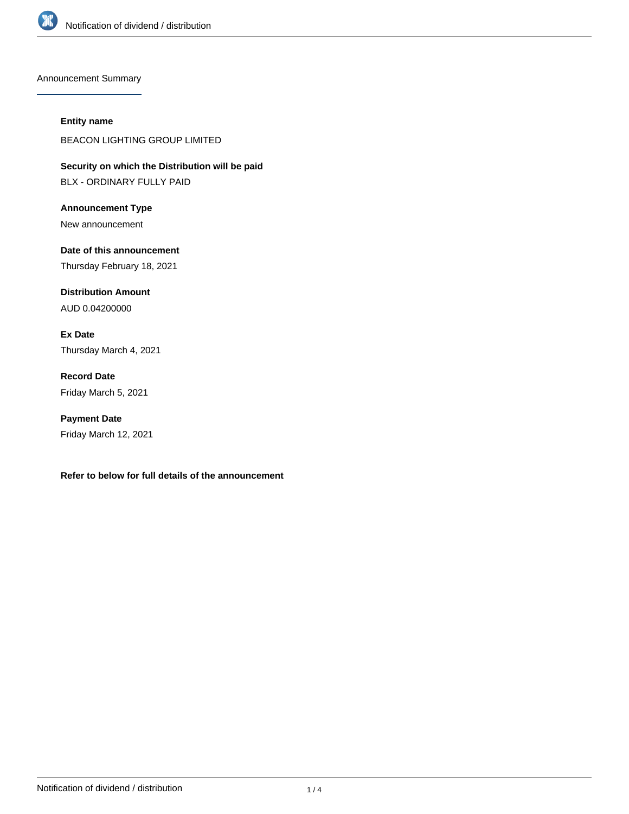

Announcement Summary

## **Entity name**

BEACON LIGHTING GROUP LIMITED

**Security on which the Distribution will be paid** BLX - ORDINARY FULLY PAID

**Announcement Type** New announcement

**Date of this announcement** Thursday February 18, 2021

**Distribution Amount** AUD 0.04200000

**Ex Date** Thursday March 4, 2021

**Record Date** Friday March 5, 2021

**Payment Date** Friday March 12, 2021

**Refer to below for full details of the announcement**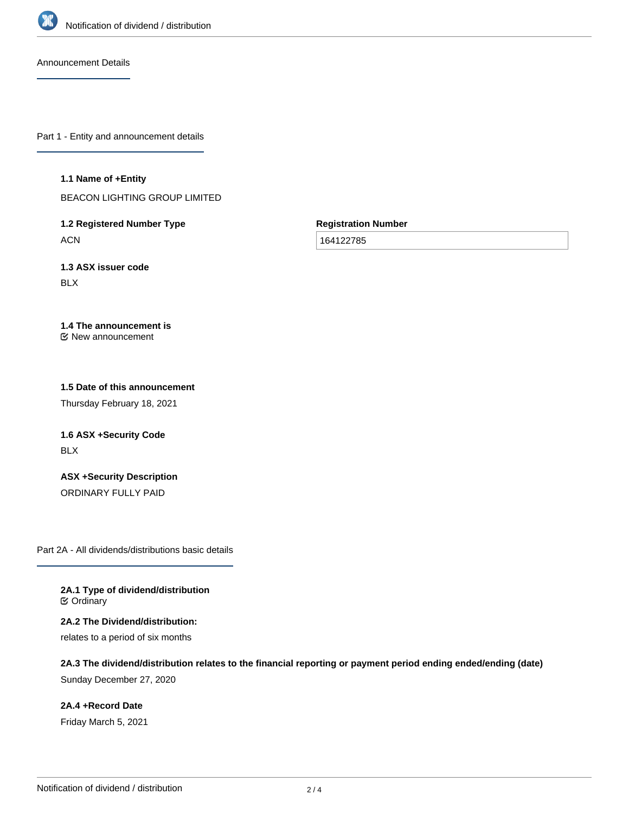

Announcement Details

Part 1 - Entity and announcement details

**1.1 Name of +Entity**

BEACON LIGHTING GROUP LIMITED

**1.2 Registered Number Type ACN** 

**Registration Number**

164122785

**1.3 ASX issuer code** BLX

**1.4 The announcement is** New announcement

**1.5 Date of this announcement**

Thursday February 18, 2021

**1.6 ASX +Security Code** BLX

**ASX +Security Description** ORDINARY FULLY PAID

Part 2A - All dividends/distributions basic details

**2A.1 Type of dividend/distribution ⊘** Ordinary

**2A.2 The Dividend/distribution:** relates to a period of six months

**2A.3 The dividend/distribution relates to the financial reporting or payment period ending ended/ending (date)** Sunday December 27, 2020

**2A.4 +Record Date** Friday March 5, 2021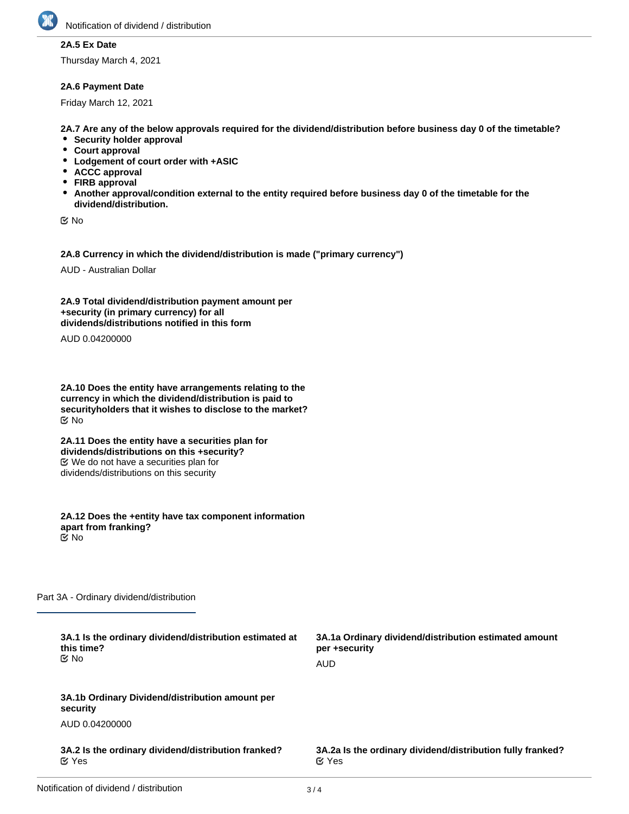

## **2A.5 Ex Date**

Thursday March 4, 2021

## **2A.6 Payment Date**

Friday March 12, 2021

**2A.7 Are any of the below approvals required for the dividend/distribution before business day 0 of the timetable?**

- **•** Security holder approval
- **Court approval**
- **Lodgement of court order with +ASIC**
- **ACCC approval**
- **FIRB approval**
- **Another approval/condition external to the entity required before business day 0 of the timetable for the dividend/distribution.**

No

**2A.8 Currency in which the dividend/distribution is made ("primary currency")**

AUD - Australian Dollar

**2A.9 Total dividend/distribution payment amount per +security (in primary currency) for all dividends/distributions notified in this form**

AUD 0.04200000

**2A.10 Does the entity have arrangements relating to the currency in which the dividend/distribution is paid to securityholders that it wishes to disclose to the market?** No

**2A.11 Does the entity have a securities plan for dividends/distributions on this +security?** We do not have a securities plan for dividends/distributions on this security

**2A.12 Does the +entity have tax component information apart from franking?** No

Part 3A - Ordinary dividend/distribution

| 3A.1 Is the ordinary dividend/distribution estimated at<br>this time?<br>C⁄No | 3A.1a Ordinary dividend/distribution estimated amount<br>per +security<br>AUD |
|-------------------------------------------------------------------------------|-------------------------------------------------------------------------------|
| 3A.1b Ordinary Dividend/distribution amount per<br>security                   |                                                                               |
| AUD 0.04200000                                                                |                                                                               |
| 3A.2 Is the ordinary dividend/distribution franked?<br>$\alpha$ Yes           | 3A.2a Is the ordinary dividend/distribution fully franked?<br>$\alpha$ Yes    |